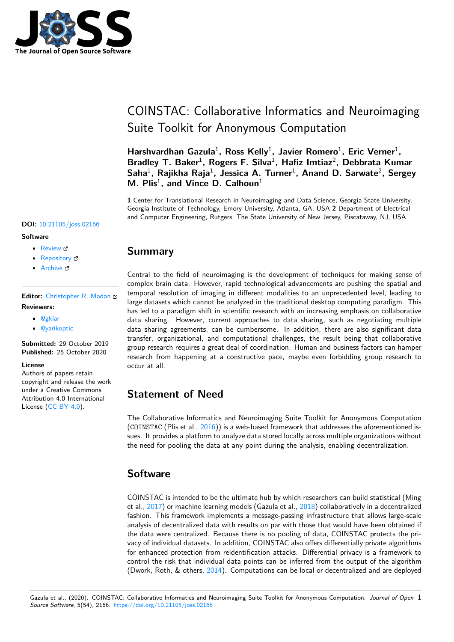

# COINSTAC: Collaborative Informatics and Neuroimaging Suite Toolkit for Anonymous Computation

Harshvardhan Gazula<sup>1</sup>, Ross Kelly<sup>1</sup>, Javier Romero<sup>1</sup>, Eric Verner<sup>1</sup>, Bradley T. Baker<sup>1</sup>, Rogers F. Silva<sup>1</sup>, Hafiz Imtiaz<sup>2</sup>, Debbrata Kumar Saha<sup>1</sup>, Rajikha Raja<sup>1</sup>, Jessica A. Turner<sup>1</sup>, Anand D. Sarwate<sup>2</sup>, Sergey **M. Plis**<sup>1</sup> **, and Vince D. Calhoun**<sup>1</sup>

**1** Center for Translational Research in Neuroimaging and Data Science, Georgia State University, Georgia Institute of Technology, Emory University, Atlanta, GA, USA **2** Department of Electrical and Computer Engineering, Rutgers, The State University of New Jersey, Piscataway, NJ, USA

#### **DOI:** 10.21105/joss.02166

#### **Software**

- Review C
- [Repository](https://doi.org/10.21105/joss.02166) &
- Archive

**Editor:** [Christoph](https://github.com/trendscenter/coinstac)er R. Madan **Revie[wers:](https://doi.org/10.5281/zenodo.4111006)**

- @gkiar
- @[yarikoptic](http://www.cmadan.com)

**Submitted:** 29 October 2019 **Publi[shed:](https://github.com/gkiar)** 25 October 2020

#### **Licen[se](https://github.com/yarikoptic)**

Authors of papers retain copyright and release the work under a Creative Commons Attribution 4.0 International License (CC BY 4.0).

## **Summary**

Central to the field of neuroimaging is the development of techniques for making sense of complex brain data. However, rapid technological advancements are pushing the spatial and temporal resolution of imaging in different modalities to an unprecedented level, leading to large datasets which cannot be analyzed in the traditional desktop computing paradigm. This has led to a paradigm shift in scientific research with an increasing emphasis on collaborative data sharing. However, current approaches to data sharing, such as negotiating multiple data sharing agreements, can be cumbersome. In addition, there are also significant data transfer, organizational, and computational challenges, the result being that collaborative group research requires a great deal of coordination. Human and business factors can hamper research from happening at a constructive pace, maybe even forbidding group research to occur at all.

## **Statement of Need**

The Collaborative Informatics and Neuroimaging Suite Toolkit for Anonymous Computation (COINSTAC (Plis et al.,  $2016$ )) is a web-based framework that addresses the aforementioned issues. It provides a platform to analyze data stored locally across multiple organizations without the need for pooling the data at any point during the analysis, enabling decentralization.

### **Software**

COINSTAC is intended to be the ultimate hub by which researchers can build statistical (Ming et al., 2017) or machine learning models (Gazula et al., 2018) collaboratively in a decentralized fashion. This framework implements a message-passing infrastructure that allows large-scale analysis of decentralized data with results on par with those that would have been obtained if the data were centralized. Because there is no pooling of data, COINSTAC protects the privacy o[f indi](#page-3-0)vidual datasets. In addition, COINSTAC als[o offe](#page-3-1)rs differentially private algorithms for enhanced protection from reidentification attacks. Differential privacy is a framework to control the risk that individual data points can be inferred from the output of the algorithm (Dwork, Roth, & others, 2014). Computations can be local or decentralized and are deployed

Gazula et al., (2020). COINSTAC: Collaborative Informatics and Neuroimaging Suite Toolkit for Anonymous Computation. *Journal of Open* 1*Source Software*, 5(54), 2166. https://doi.org/10.21105/joss.021[66](#page-3-2)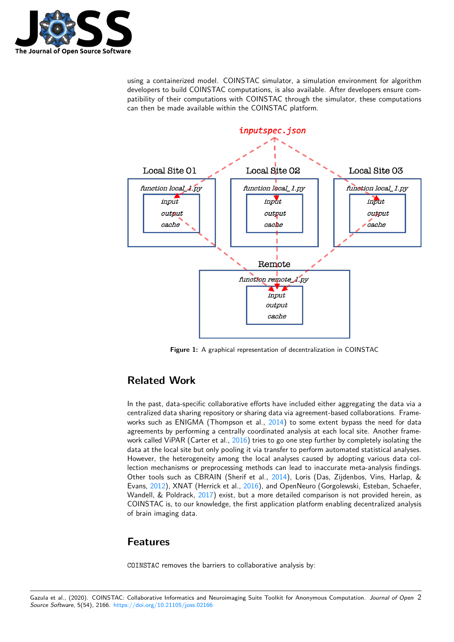

using a containerized model. COINSTAC simulator, a simulation environment for algorithm developers to build COINSTAC computations, is also available. After developers ensure compatibility of their computations with COINSTAC through the simulator, these computations can then be made available within the COINSTAC platform.



**Figure 1:** A graphical representation of decentralization in COINSTAC

## **Related Work**

In the past, data-specific collaborative efforts have included either aggregating the data via a centralized data sharing repository or sharing data via agreement-based collaborations. Frameworks such as ENIGMA (Thompson et al.,  $2014$ ) to some extent bypass the need for data agreements by performing a centrally coordinated analysis at each local site. Another framework called ViPAR (Carter et al., 2016) tries to go one step further by completely isolating the data at the local site but only pooling it via transfer to perform automated statistical analyses. However, the heterogeneity among the loca[l ana](#page-3-3)lyses caused by adopting various data collection mechanisms or preprocessing methods can lead to inaccurate meta-analysis findings. Other tools such as CBRAIN ([Sherif](#page-3-4) et al., 2014), Loris (Das, Zijdenbos, Vins, Harlap, & Evans, 2012), XNAT (Herrick et al., 2016), and OpenNeuro (Gorgolewski, Esteban, Schaefer, Wandell, & Poldrack, 2017) exist, but a more detailed comparison is not provided herein, as COINSTAC is, to our knowledge, the first application platform enabling decentralized analysis of brain imaging data.

### **Features**

COINSTAC removes the barriers to collaborative analysis by: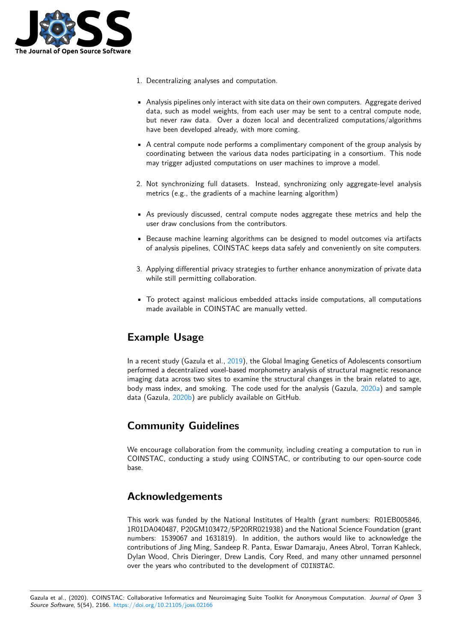

- 1. Decentralizing analyses and computation.
- Analysis pipelines only interact with site data on their own computers. Aggregate derived data, such as model weights, from each user may be sent to a central compute node, but never raw data. Over a dozen local and decentralized computations/algorithms have been developed already, with more coming.
- A central compute node performs a complimentary component of the group analysis by coordinating between the various data nodes participating in a consortium. This node may trigger adjusted computations on user machines to improve a model.
- 2. Not synchronizing full datasets. Instead, synchronizing only aggregate-level analysis metrics (e.g., the gradients of a machine learning algorithm)
- As previously discussed, central compute nodes aggregate these metrics and help the user draw conclusions from the contributors.
- Because machine learning algorithms can be designed to model outcomes via artifacts of analysis pipelines, COINSTAC keeps data safely and conveniently on site computers.
- 3. Applying differential privacy strategies to further enhance anonymization of private data while still permitting collaboration.
- To protect against malicious embedded attacks inside computations, all computations made available in COINSTAC are manually vetted.

## **Example Usage**

In a recent study (Gazula et al., 2019), the Global Imaging Genetics of Adolescents consortium performed a decentralized voxel-based morphometry analysis of structural magnetic resonance imaging data across two sites to examine the structural changes in the brain related to age, body mass index, and smoking. The code used for the analysis (Gazula, 2020a) and sample data (Gazula, 2020b) are publi[cly av](#page-3-5)ailable on GitHub.

## **Commun[ity G](#page-3-6)uidelines**

We encourage collaboration from the community, including creating a computation to run in COINSTAC, conducting a study using COINSTAC, or contributing to our open-source code base.

## **Acknowledgements**

This work was funded by the National Institutes of Health (grant numbers: R01EB005846, 1R01DA040487, P20GM103472/5P20RR021938) and the National Science Foundation (grant numbers: 1539067 and 1631819). In addition, the authors would like to acknowledge the contributions of Jing Ming, Sandeep R. Panta, Eswar Damaraju, Anees Abrol, Torran Kahleck, Dylan Wood, Chris Dieringer, Drew Landis, Cory Reed, and many other unnamed personnel over the years who contributed to the development of COINSTAC.